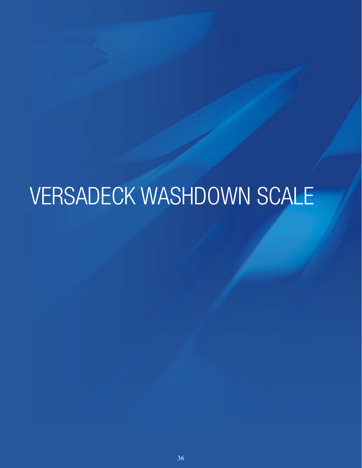# VERSADECK WASHDOWN SCALE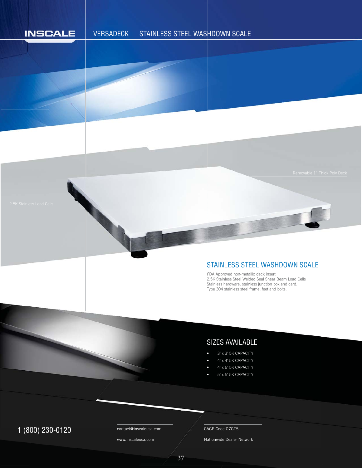

## VERSADECK — STAINLESS STEEL WASHDOWN SCALE H

## STAINLESS STEEL WASHDOWN SCALE

FDA Approved non-metallic deck insert F 2.5K Stainless Steel Welded Seal Shear Beam Load Cells 2 Stainless hardware, stainless junction box and card, S Type 304 stainless steel frame, feet and bolts. T

## SIZES AVAILABLE

- 3' x 3' 5K CAPACITY
- 4' x 4' 5K CAPACITY
- 4' x 6' 5K CAPACITY
- 5' x 5' 5K CAPACITY

## $1 (800) 230 - 0120$  Contact@inscaleusa.com CAGE Code 07GT5

contact@inscaleusa.com

www.inscaleusa.com

Nationwide Dealer Network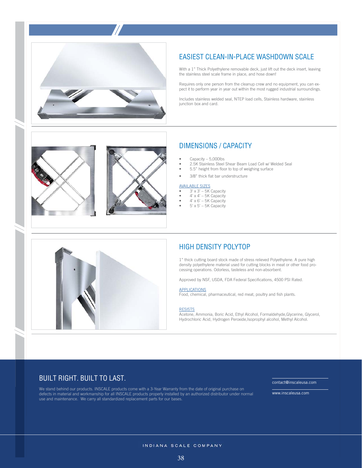

## EASIEST CLEAN-IN-PLACE WASHDOWN SCALE

With a 1" Thick Polyethylene removable deck, just lift out the deck insert, leaving the stainless steel scale frame in place, and hose down!

Requires only one person from the cleanup crew and no equipment, you can expect it to perform year in year out within the most rugged industrial surroundings.

Includes stainless welded seal, NTEP load cells, Stainless hardware, stainless junction box and card.



## DIMENSIONS / CAPACITY

- Capacity 5,000lbs
- 2.5K Stainless Steel Shear Beam Load Cell w/ Welded Seal
- 5.5" height from floor to top of weighing surface
- 3/8" thick flat bar understructure

#### AVAILABLE SIZES

- $\bullet$  3' x 3' 5K Capacity
- $\bullet$  4' x 4' 5K Capacity
- $4'$  x  $6'$  5K Capacity  $5' \times 5' - 5K$  Capacity
- 



### HIGH DENSITY POLYTOP

1" thick cutting board stock made of stress relieved Polyethylene. A pure high density polyethylene material used for cutting blocks in meat or other food processing operations. Odorless, tasteless and non-absorbent.

Approved by NSF, USDA, FDA Federal Specifications, 4500 PSI Rated.

#### **APPLICATIONS**

Food, chemical, pharmaceutical, red meat, poultry and fish plants.

#### **RESISTS**

Acetone, Ammonia, Boric Acid, Ethyl Alcohol, Formaldehyde,Glycerine, Glycerol, Hydrochloric Acid, Hydrogen Peroxide,Isoprophyl alcohol, Methyl Alcohol.

## BUILT RIGHT. BUILT TO LAST.

We stand behind our products. INSCALE products come with a 3-Year Warranty from the date of original purchase on defects in material and workmanship for all INSCALE products properly installed by an authorized distributor under normal use and maintenance. We carry all standardized replacement parts for our bases.

contact@inscaleusa.com

www.inscaleusa.com